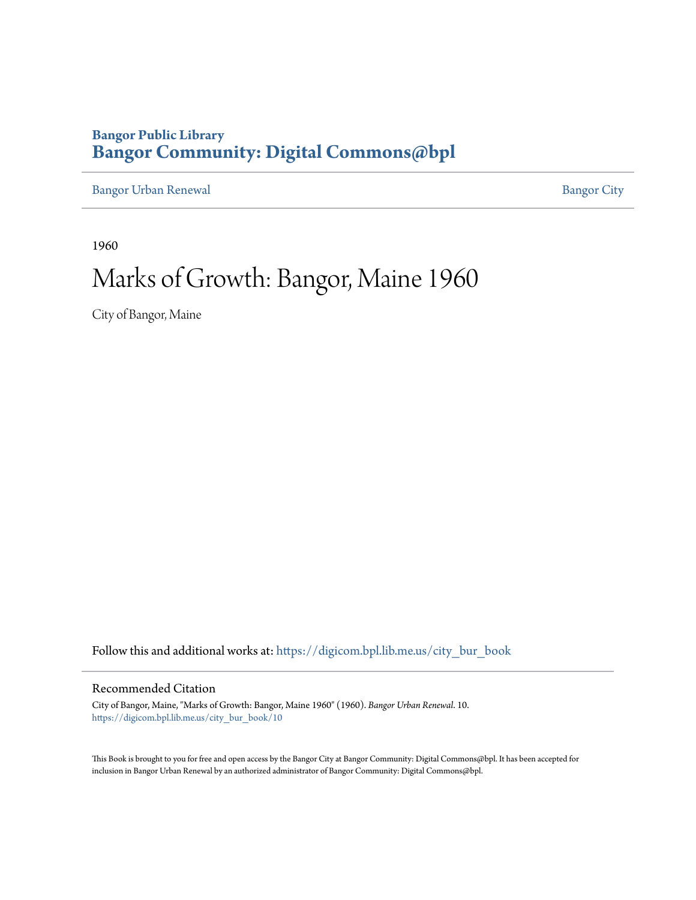### **Bangor Public Library [Bangor Community: Digital Commons@bpl](https://digicom.bpl.lib.me.us?utm_source=digicom.bpl.lib.me.us%2Fcity_bur_book%2F10&utm_medium=PDF&utm_campaign=PDFCoverPages)**

[Bangor Urban Renewal](https://digicom.bpl.lib.me.us/city_bur_book?utm_source=digicom.bpl.lib.me.us%2Fcity_bur_book%2F10&utm_medium=PDF&utm_campaign=PDFCoverPages) **[Bangor City](https://digicom.bpl.lib.me.us/bangor_city?utm_source=digicom.bpl.lib.me.us%2Fcity_bur_book%2F10&utm_medium=PDF&utm_campaign=PDFCoverPages)** 

1960

# Marks of Growth: Bangor, Maine 1960

City of Bangor, Maine

Follow this and additional works at: [https://digicom.bpl.lib.me.us/city\\_bur\\_book](https://digicom.bpl.lib.me.us/city_bur_book?utm_source=digicom.bpl.lib.me.us%2Fcity_bur_book%2F10&utm_medium=PDF&utm_campaign=PDFCoverPages)

### Recommended Citation

City of Bangor, Maine, "Marks of Growth: Bangor, Maine 1960" (1960). *Bangor Urban Renewal*. 10. [https://digicom.bpl.lib.me.us/city\\_bur\\_book/10](https://digicom.bpl.lib.me.us/city_bur_book/10?utm_source=digicom.bpl.lib.me.us%2Fcity_bur_book%2F10&utm_medium=PDF&utm_campaign=PDFCoverPages)

This Book is brought to you for free and open access by the Bangor City at Bangor Community: Digital Commons@bpl. It has been accepted for inclusion in Bangor Urban Renewal by an authorized administrator of Bangor Community: Digital Commons@bpl.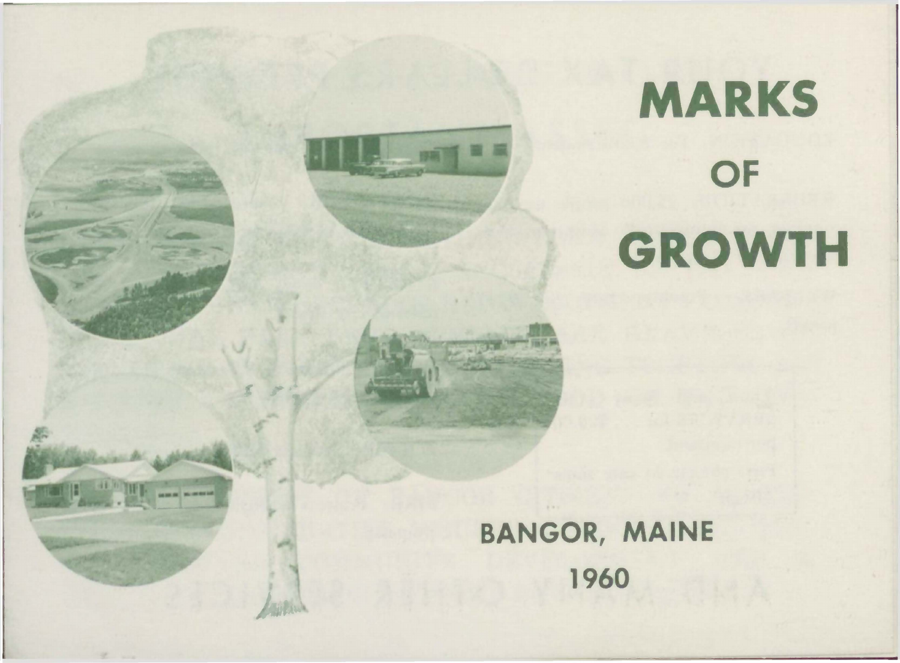# **MARKS OF GROWTH**

BANGOR, MAINE 1960

**SOUTHERN** 

**MARINE MONTHS** 

Laghan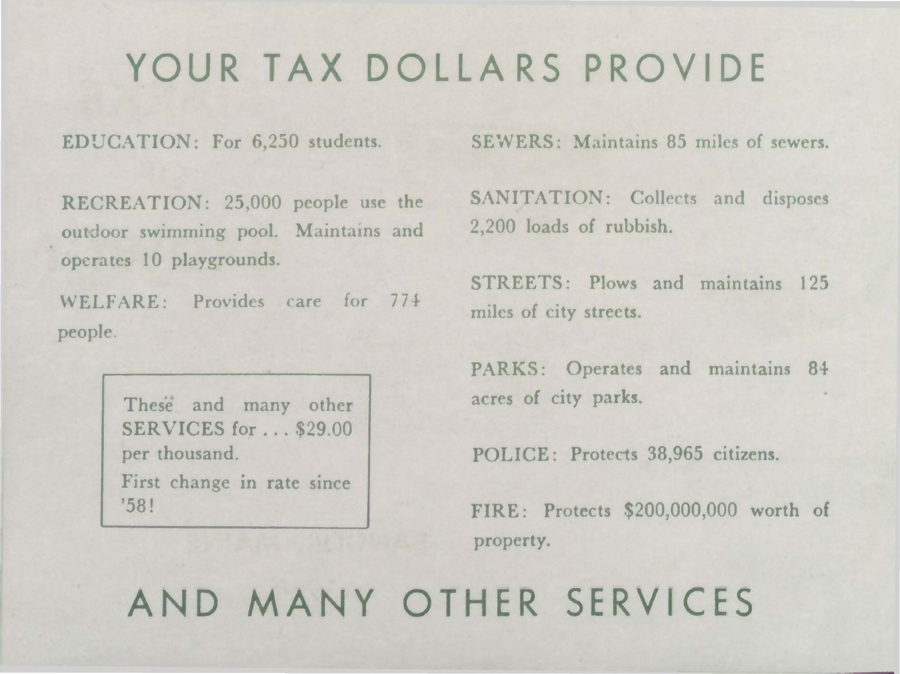## **YOUR TAX DOLLARS PROVIDE**

EDUCATION: For 6,250 students.

RECREATION: 25,000 people use the outdoor swimming pool. Maintains and operates 10 playgrounds.

WELFARE: Provides care for 774 people

> These and many other SERVICES for ... \$29.00 per thousand. First change in rate since '58!

SEWERS: Maintains 85 miles of sewers.

SANITATION: Collects and disposes 2,200 loads of rubbish.

STREETS: Plows and maintains 125 miles of city streets.

PARKS: Operates and maintains 84 acres of city parks.

POLICE: Protects 38,965 citizens.

FIRE: Protects \$200,000,000 worth of property.

**AND MANY OTHER SERVICES**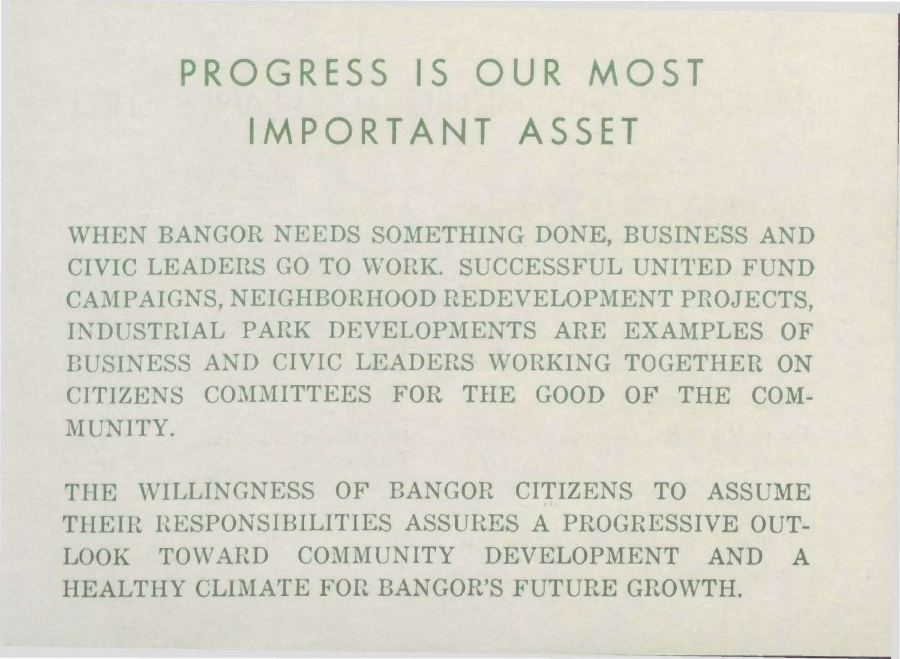# **PROGRESS IS OUR MOST IMPORTANT ASSET**

WHEN BANGOR NEEDS SOMETHING DONE, BUSINESS AND CIVIC LEADERS GO TO WORK. SUCCESSFUL UNITED FUND CAMPAIGNS, NEIGHBORHOOD REDEVELOPMENT PROJECTS, INDUSTRIAL PARK DEVELOPMENTS ARE EXAMPLES OF BUSINESS AND CIVIC LEADERS WORKING TOGETHER ON CITIZENS COMMITTEES FOR THE GOOD OF THE COM-MUNITY.

THE WILLINGNESS OF BANGOR CITIZENS TO ASSUME THEIR HESPONSIBILITIES ASSURES A PROGRESSIVE OUT-LOOK TOWARD COMMUNITY DEVELOPMENT AND A HEALTHY CLIMATE FOR BANGOR'S FUTURE GROWTH.